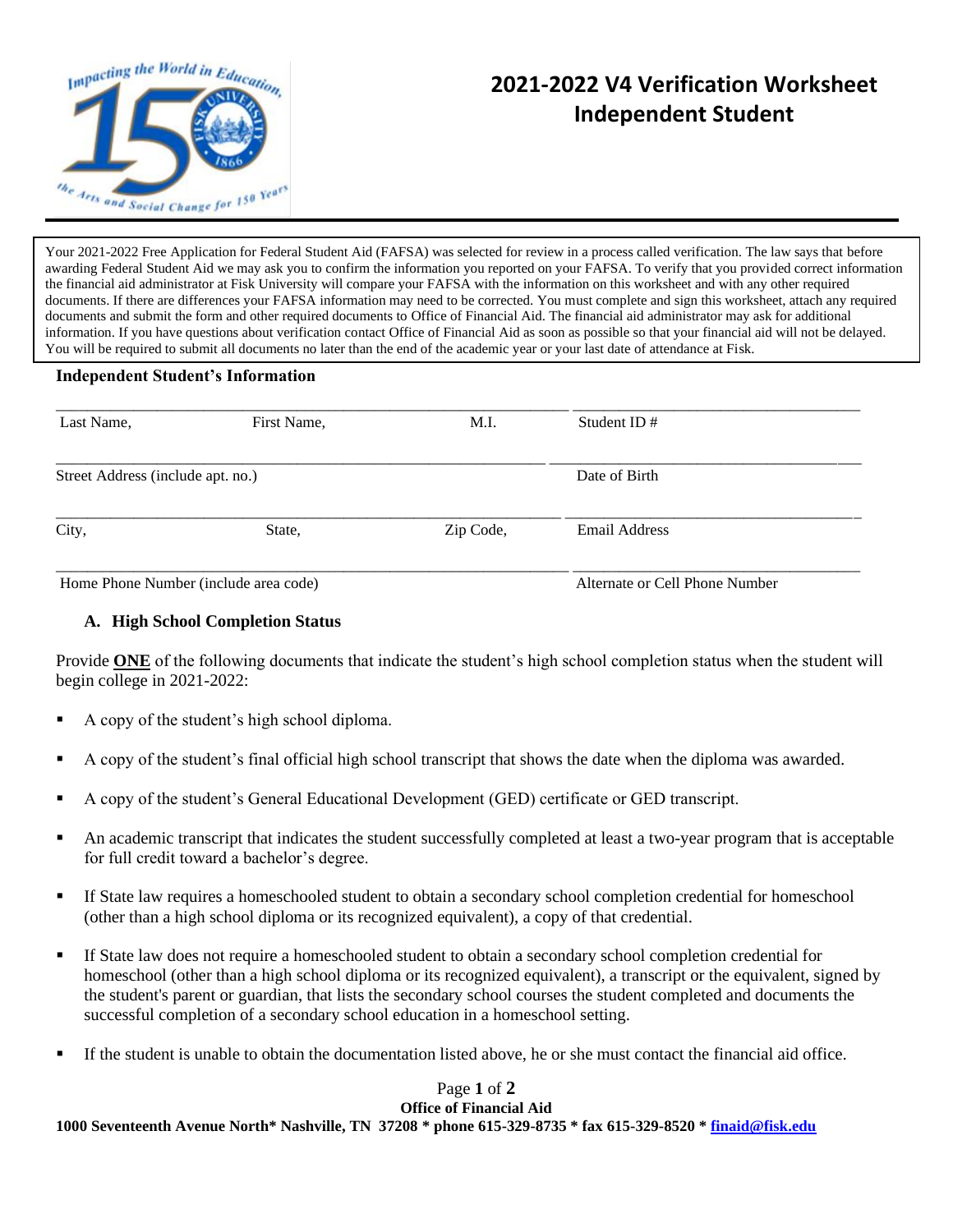

## **2021-2022 V4 Verification Worksheet Independent Student**

Your 2021-2022 Free Application for Federal Student Aid (FAFSA) was selected for review in a process called verification. The law says that before awarding Federal Student Aid we may ask you to confirm the information you reported on your FAFSA. To verify that you provided correct information the financial aid administrator at Fisk University will compare your FAFSA with the information on this worksheet and with any other required documents. If there are differences your FAFSA information may need to be corrected. You must complete and sign this worksheet, attach any required documents and submit the form and other required documents to Office of Financial Aid. The financial aid administrator may ask for additional information. If you have questions about verification contact Office of Financial Aid as soon as possible so that your financial aid will not be delayed. You will be required to submit all documents no later than the end of the academic year or your last date of attendance at Fisk.

## **Independent Student's Information**

| Last Name,                            | First Name, | M.I.      | Student ID $#$                 |  |
|---------------------------------------|-------------|-----------|--------------------------------|--|
| Street Address (include apt. no.)     |             |           | Date of Birth                  |  |
| City,                                 | State,      | Zip Code, | Email Address                  |  |
| Home Phone Number (include area code) |             |           | Alternate or Cell Phone Number |  |

## **A. High School Completion Status**

Provide **ONE** of the following documents that indicate the student's high school completion status when the student will begin college in 2021-2022:

- A copy of the student's high school diploma.
- A copy of the student's final official high school transcript that shows the date when the diploma was awarded.
- A copy of the student's General Educational Development (GED) certificate or GED transcript.
- An academic transcript that indicates the student successfully completed at least a two-year program that is acceptable for full credit toward a bachelor's degree.
- If State law requires a homeschooled student to obtain a secondary school completion credential for homeschool (other than a high school diploma or its recognized equivalent), a copy of that credential.
- If State law does not require a homeschooled student to obtain a secondary school completion credential for homeschool (other than a high school diploma or its recognized equivalent), a transcript or the equivalent, signed by the student's parent or guardian, that lists the secondary school courses the student completed and documents the successful completion of a secondary school education in a homeschool setting.
- If the student is unable to obtain the documentation listed above, he or she must contact the financial aid office.

## Page **1** of **2 Office of Financial Aid**

**1000 Seventeenth Avenue North\* Nashville, TN 37208 \* phone 615-329-8735 \* fax 615-329-8520 [\\* finaid@fisk.edu](mailto:finaid@fisk.edu)**